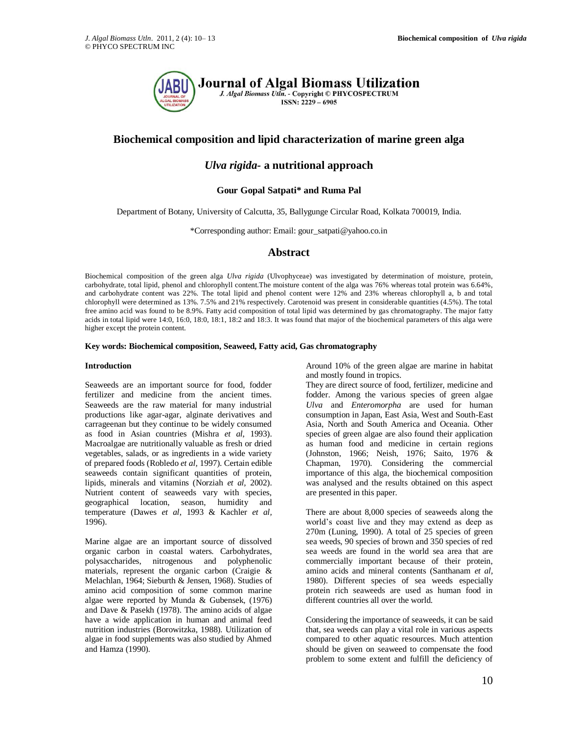

# **Biochemical composition and lipid characterization of marine green alga**

## *Ulva rigida-* **a nutritional approach**

### **Gour Gopal Satpati\* and Ruma Pal**

Department of Botany, University of Calcutta, 35, Ballygunge Circular Road, Kolkata 700019, India.

\*Corresponding author: Email: gour\_satpati@yahoo.co.in

### **Abstract**

Biochemical composition of the green alga *Ulva rigida* (Ulvophyceae) was investigated by determination of moisture, protein, carbohydrate, total lipid, phenol and chlorophyll content.The moisture content of the alga was 76% whereas total protein was 6.64%, and carbohydrate content was 22%. The total lipid and phenol content were 12% and 23% whereas chlorophyll a, b and total chlorophyll were determined as 13%. 7.5% and 21% respectively. Carotenoid was present in considerable quantities (4.5%). The total free amino acid was found to be 8.9%. Fatty acid composition of total lipid was determined by gas chromatography. The major fatty acids in total lipid were 14:0, 16:0, 18:0, 18:1, 18:2 and 18:3. It was found that major of the biochemical parameters of this alga were higher except the protein content.

#### **Key words: Biochemical composition, Seaweed, Fatty acid, Gas chromatography**

#### **Introduction**

Seaweeds are an important source for food, fodder fertilizer and medicine from the ancient times. Seaweeds are the raw material for many industrial productions like agar-agar, alginate derivatives and carrageenan but they continue to be widely consumed as food in Asian countries (Mishra *et al*, 1993). Macroalgae are nutritionally valuable as fresh or dried vegetables, salads, or as ingredients in a wide variety of prepared foods (Robledo *et al,* 1997). Certain edible seaweeds contain significant quantities of protein, lipids, minerals and vitamins (Norziah *et al,* 2002). Nutrient content of seaweeds vary with species, geographical location, season, humidity and temperature (Dawes *et al*, 1993 & Kachler *et al,* 1996).

Marine algae are an important source of dissolved organic carbon in coastal waters. Carbohydrates, polysaccharides, nitrogenous and polyphenolic materials, represent the organic carbon (Craigie & Melachlan, 1964; Sieburth & Jensen, 1968). Studies of amino acid composition of some common marine algae were reported by Munda & Gubensek, (1976) and Dave & Pasekh (1978). The amino acids of algae have a wide application in human and animal feed nutrition industries (Borowitzka, 1988). Utilization of algae in food supplements was also studied by Ahmed and Hamza (1990).

Around 10% of the green algae are marine in habitat and mostly found in tropics.

They are direct source of food, fertilizer, medicine and fodder. Among the various species of green algae *Ulva* and *Enteromorpha* are used for human consumption in Japan, East Asia, West and South-East Asia, North and South America and Oceania. Other species of green algae are also found their application as human food and medicine in certain regions (Johnston, 1966; Neish, 1976; Saito, 1976 & Chapman, 1970). Considering the commercial importance of this alga, the biochemical composition was analysed and the results obtained on this aspect are presented in this paper.

There are about 8,000 species of seaweeds along the world's coast live and they may extend as deep as 270m (Luning, 1990). A total of 25 species of green sea weeds, 90 species of brown and 350 species of red sea weeds are found in the world sea area that are commercially important because of their protein, amino acids and mineral contents (Santhanam *et al,* 1980). Different species of sea weeds especially protein rich seaweeds are used as human food in different countries all over the world.

Considering the importance of seaweeds, it can be said that, sea weeds can play a vital role in various aspects compared to other aquatic resources. Much attention should be given on seaweed to compensate the food problem to some extent and fulfill the deficiency of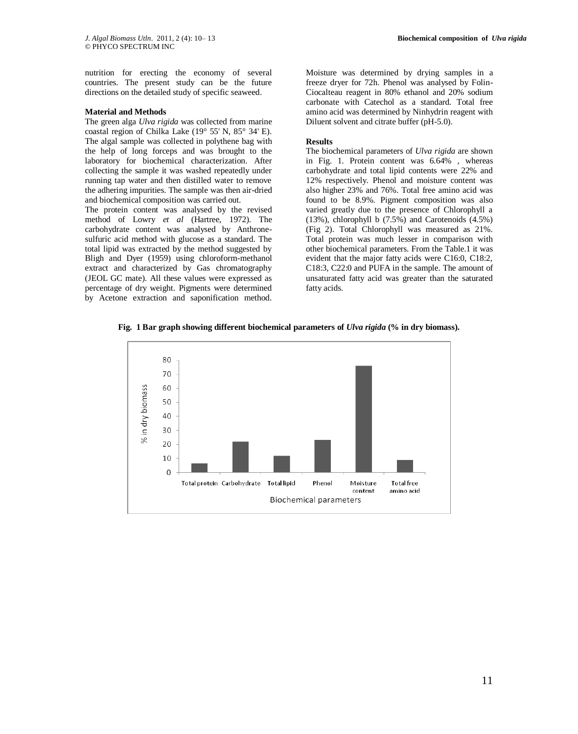nutrition for erecting the economy of several countries. The present study can be the future directions on the detailed study of specific seaweed.

#### **Material and Methods**

The green alga *Ulva rigida* was collected from marine coastal region of Chilka Lake (19° 55' N, 85° 34' E). The algal sample was collected in polythene bag with the help of long forceps and was brought to the laboratory for biochemical characterization. After collecting the sample it was washed repeatedly under running tap water and then distilled water to remove the adhering impurities. The sample was then air-dried and biochemical composition was carried out.

The protein content was analysed by the revised method of Lowry *et al* (Hartree, 1972). The carbohydrate content was analysed by Anthronesulfuric acid method with glucose as a standard. The total lipid was extracted by the method suggested by Bligh and Dyer (1959) using chloroform-methanol extract and characterized by Gas chromatography (JEOL GC mate). All these values were expressed as percentage of dry weight. Pigments were determined by Acetone extraction and saponification method.

Moisture was determined by drying samples in a freeze dryer for 72h. Phenol was analysed by Folin-Ciocalteau reagent in 80% ethanol and 20% sodium carbonate with Catechol as a standard. Total free amino acid was determined by Ninhydrin reagent with Diluent solvent and citrate buffer (pH-5.0).

#### **Results**

The biochemical parameters of *Ulva rigida* are shown in Fig. 1. Protein content was 6.64% , whereas carbohydrate and total lipid contents were 22% and 12% respectively. Phenol and moisture content was also higher 23% and 76%. Total free amino acid was found to be 8.9%. Pigment composition was also varied greatly due to the presence of Chlorophyll a (13%), chlorophyll b (7.5%) and Carotenoids (4.5%) (Fig 2). Total Chlorophyll was measured as 21%. Total protein was much lesser in comparison with other biochemical parameters. From the Table.1 it was evident that the major fatty acids were C16:0, C18:2, C18:3, C22:0 and PUFA in the sample. The amount of unsaturated fatty acid was greater than the saturated fatty acids.

**Fig. 1 Bar graph showing different biochemical parameters of** *Ulva rigida* **(% in dry biomass).**

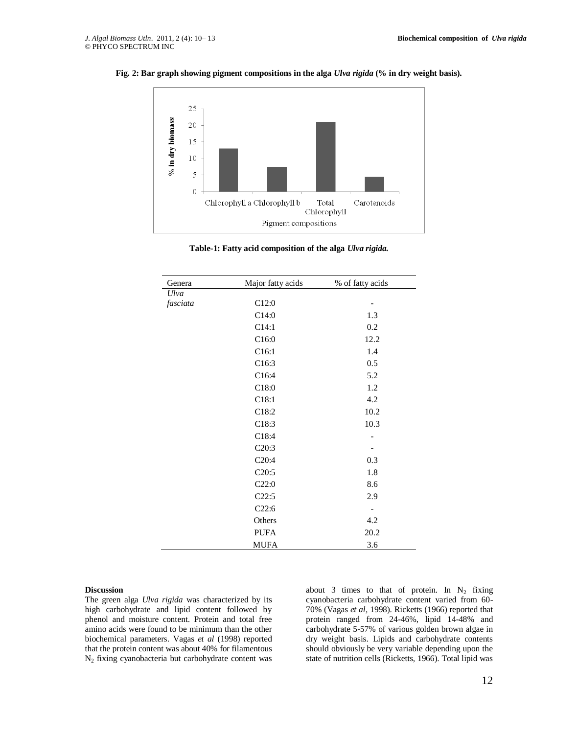



**Table-1: Fatty acid composition of the alga** *Ulva rigida.*

| Genera   | Major fatty acids | % of fatty acids |
|----------|-------------------|------------------|
| Ulva     |                   |                  |
| fasciata | C12:0             | -                |
|          | C14:0             | 1.3              |
|          | C14:1             | 0.2              |
|          | C16:0             | 12.2             |
|          | C16:1             | 1.4              |
|          | C16:3             | 0.5              |
|          | C16:4             | 5.2              |
|          | C18:0             | 1.2              |
|          | C18:1             | 4.2              |
|          | C18:2             | 10.2             |
|          | C18:3             | 10.3             |
|          | C18:4             |                  |
|          | C20:3             |                  |
|          | C20:4             | 0.3              |
|          | C20:5             | 1.8              |
|          | C22:0             | 8.6              |
|          | C22:5             | 2.9              |
|          | C22:6             | -                |
|          | Others            | 4.2              |
|          | <b>PUFA</b>       | 20.2             |
|          | <b>MUFA</b>       | 3.6              |

#### **Discussion**

The green alga *Ulva rigida* was characterized by its high carbohydrate and lipid content followed by phenol and moisture content. Protein and total free amino acids were found to be minimum than the other biochemical parameters. Vagas *et al* (1998) reported that the protein content was about 40% for filamentous  $N<sub>2</sub>$  fixing cyanobacteria but carbohydrate content was

about 3 times to that of protein. In  $N_2$  fixing cyanobacteria carbohydrate content varied from 60- 70% (Vagas *et al,* 1998). Ricketts (1966) reported that protein ranged from 24-46%, lipid 14-48% and carbohydrate 5-57% of various golden brown algae in dry weight basis. Lipids and carbohydrate contents should obviously be very variable depending upon the state of nutrition cells (Ricketts, 1966). Total lipid was